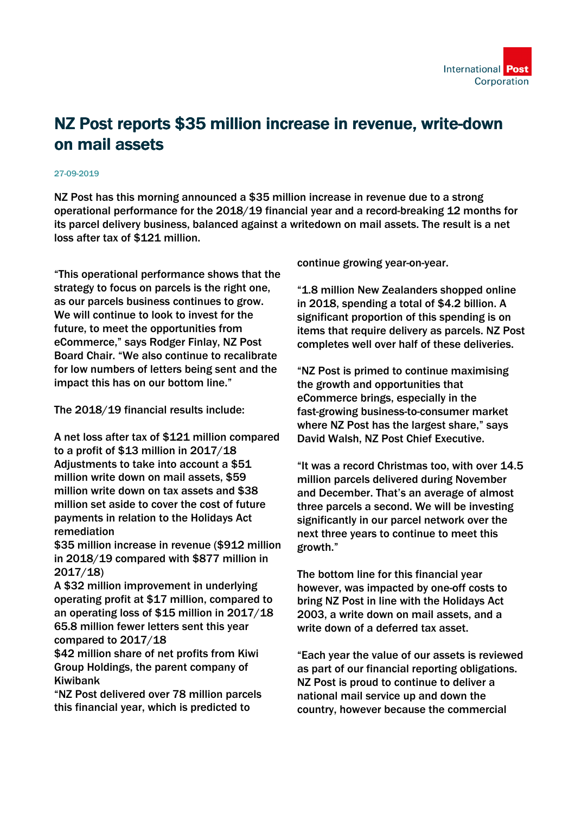

## NZ Post reports \$35 million increase in revenue, write-down on mail assets

## 27-09-2019

NZ Post has this morning announced a \$35 million increase in revenue due to a strong operational performance for the 2018/19 financial year and a record-breaking 12 months for its parcel delivery business, balanced against a writedown on mail assets. The result is a net loss after tax of \$121 million.

"This operational performance shows that the strategy to focus on parcels is the right one, as our parcels business continues to grow. We will continue to look to invest for the future, to meet the opportunities from eCommerce," says Rodger Finlay, NZ Post Board Chair. "We also continue to recalibrate for low numbers of letters being sent and the impact this has on our bottom line."

The 2018/19 financial results include:

A net loss after tax of \$121 million compared to a profit of \$13 million in 2017/18 Adjustments to take into account a \$51 million write down on mail assets, \$59 million write down on tax assets and \$38 million set aside to cover the cost of future payments in relation to the Holidays Act remediation

\$35 million increase in revenue (\$912 million in 2018/19 compared with \$877 million in 2017/18)

A \$32 million improvement in underlying operating profit at \$17 million, compared to an operating loss of \$15 million in 2017/18 65.8 million fewer letters sent this year compared to 2017/18

\$42 million share of net profits from Kiwi Group Holdings, the parent company of Kiwibank

"NZ Post delivered over 78 million parcels this financial year, which is predicted to

continue growing year-on-year.

"1.8 million New Zealanders shopped online in 2018, spending a total of \$4.2 billion. A significant proportion of this spending is on items that require delivery as parcels. NZ Post completes well over half of these deliveries.

"NZ Post is primed to continue maximising the growth and opportunities that eCommerce brings, especially in the fast-growing business-to-consumer market where NZ Post has the largest share," says David Walsh, NZ Post Chief Executive.

"It was a record Christmas too, with over 14.5 million parcels delivered during November and December. That's an average of almost three parcels a second. We will be investing significantly in our parcel network over the next three years to continue to meet this growth."

The bottom line for this financial year however, was impacted by one-off costs to bring NZ Post in line with the Holidays Act 2003, a write down on mail assets, and a write down of a deferred tax asset.

"Each year the value of our assets is reviewed as part of our financial reporting obligations. NZ Post is proud to continue to deliver a national mail service up and down the country, however because the commercial